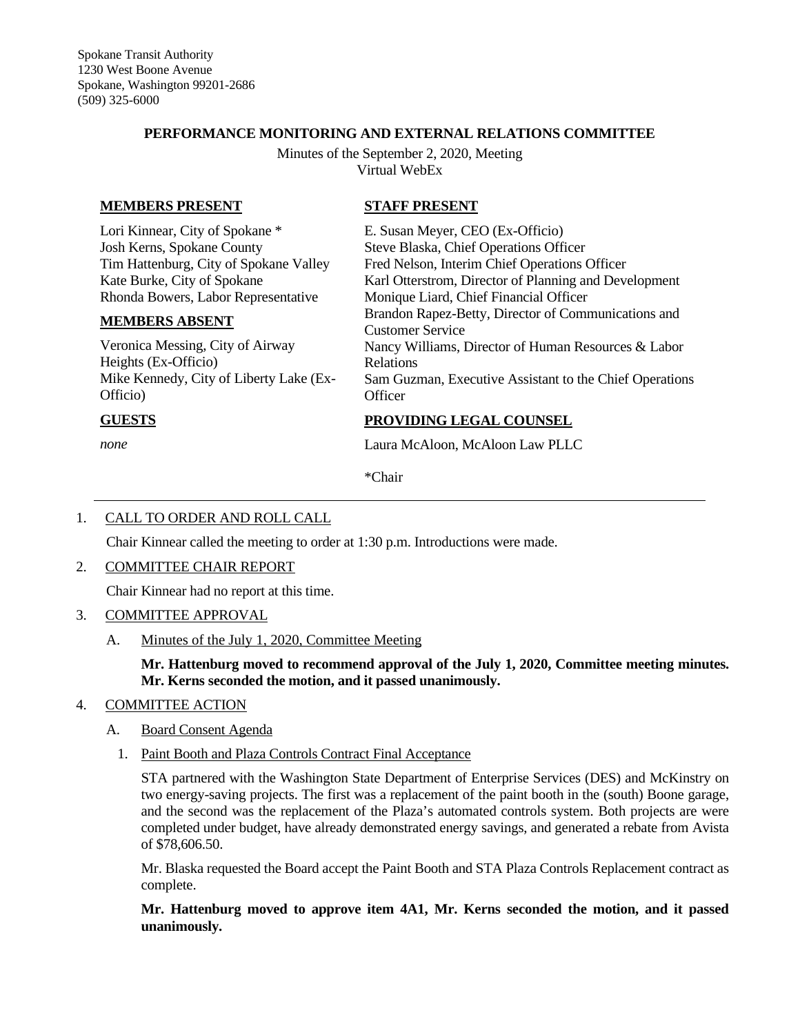## **PERFORMANCE MONITORING AND EXTERNAL RELATIONS COMMITTEE**

Minutes of the September 2, 2020, Meeting Virtual WebEx

**STAFF PRESENT**

## **MEMBERS PRESENT**

Lori Kinnear, City of Spokane \* Josh Kerns, Spokane County Tim Hattenburg, City of Spokane Valley Kate Burke, City of Spokane Rhonda Bowers, Labor Representative

#### **MEMBERS ABSENT**

Veronica Messing, City of Airway Heights (Ex-Officio) Mike Kennedy, City of Liberty Lake (Ex-Officio)

# Fred Nelson, Interim Chief Operations Officer Karl Otterstrom, Director of Planning and Development Monique Liard, Chief Financial Officer Brandon Rapez-Betty, Director of Communications and Customer Service Nancy Williams, Director of Human Resources & Labor Relations Sam Guzman, Executive Assistant to the Chief Operations **Officer**

## **GUESTS**

*none*

## **PROVIDING LEGAL COUNSEL**

E. Susan Meyer, CEO (Ex-Officio) Steve Blaska, Chief Operations Officer

Laura McAloon, McAloon Law PLLC

\*Chair

# 1. CALL TO ORDER AND ROLL CALL

Chair Kinnear called the meeting to order at 1:30 p.m. Introductions were made.

### 2. COMMITTEE CHAIR REPORT

Chair Kinnear had no report at this time.

### 3. COMMITTEE APPROVAL

A. Minutes of the July 1, 2020, Committee Meeting

**Mr. Hattenburg moved to recommend approval of the July 1, 2020, Committee meeting minutes. Mr. Kerns seconded the motion, and it passed unanimously.**

### 4. COMMITTEE ACTION

### A. Board Consent Agenda

1. Paint Booth and Plaza Controls Contract Final Acceptance

STA partnered with the Washington State Department of Enterprise Services (DES) and McKinstry on two energy-saving projects. The first was a replacement of the paint booth in the (south) Boone garage, and the second was the replacement of the Plaza's automated controls system. Both projects are were completed under budget, have already demonstrated energy savings, and generated a rebate from Avista of \$78,606.50.

Mr. Blaska requested the Board accept the Paint Booth and STA Plaza Controls Replacement contract as complete.

**Mr. Hattenburg moved to approve item 4A1, Mr. Kerns seconded the motion, and it passed unanimously.**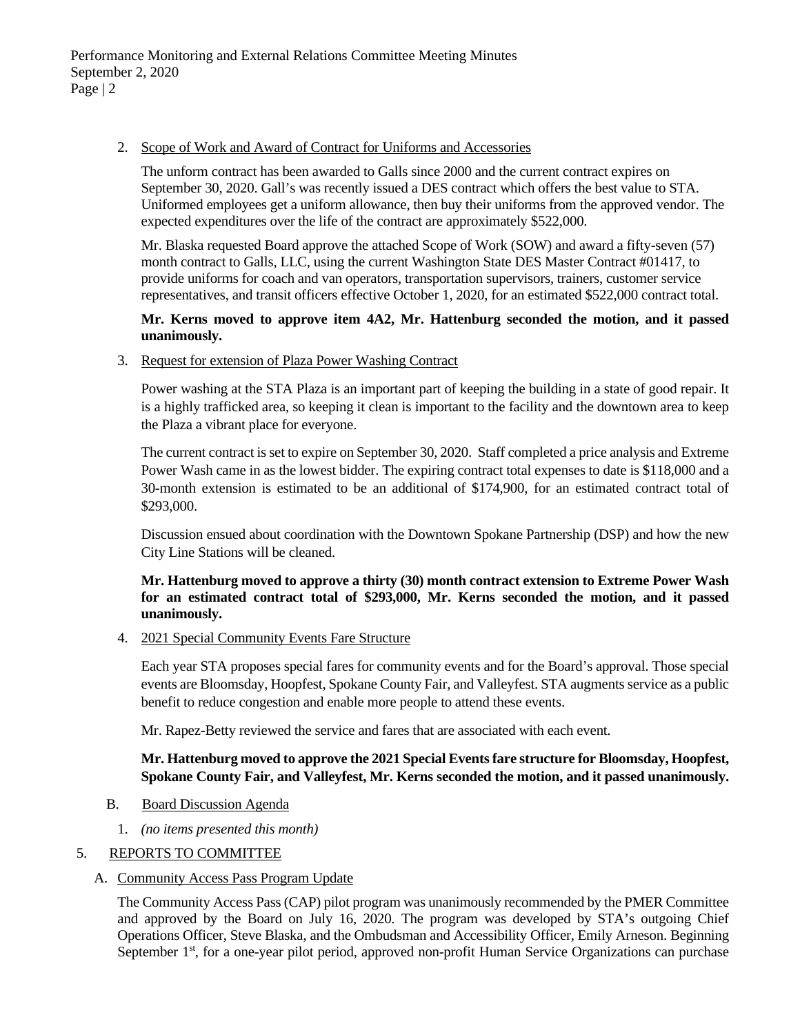## 2. Scope of Work and Award of Contract for Uniforms and Accessories

The unform contract has been awarded to Galls since 2000 and the current contract expires on September 30, 2020. Gall's was recently issued a DES contract which offers the best value to STA. Uniformed employees get a uniform allowance, then buy their uniforms from the approved vendor. The expected expenditures over the life of the contract are approximately \$522,000.

Mr. Blaska requested Board approve the attached Scope of Work (SOW) and award a fifty-seven (57) month contract to Galls, LLC, using the current Washington State DES Master Contract #01417, to provide uniforms for coach and van operators, transportation supervisors, trainers, customer service representatives, and transit officers effective October 1, 2020, for an estimated \$522,000 contract total.

## **Mr. Kerns moved to approve item 4A2, Mr. Hattenburg seconded the motion, and it passed unanimously.**

3. Request for extension of Plaza Power Washing Contract

Power washing at the STA Plaza is an important part of keeping the building in a state of good repair. It is a highly trafficked area, so keeping it clean is important to the facility and the downtown area to keep the Plaza a vibrant place for everyone.

The current contract is set to expire on September 30, 2020. Staff completed a price analysis and Extreme Power Wash came in as the lowest bidder. The expiring contract total expenses to date is \$118,000 and a 30-month extension is estimated to be an additional of \$174,900, for an estimated contract total of \$293,000.

Discussion ensued about coordination with the Downtown Spokane Partnership (DSP) and how the new City Line Stations will be cleaned.

## **Mr. Hattenburg moved to approve a thirty (30) month contract extension to Extreme Power Wash for an estimated contract total of \$293,000, Mr. Kerns seconded the motion, and it passed unanimously.**

4. 2021 Special Community Events Fare Structure

Each year STA proposes special fares for community events and for the Board's approval. Those special events are Bloomsday, Hoopfest, Spokane County Fair, and Valleyfest. STA augments service as a public benefit to reduce congestion and enable more people to attend these events.

Mr. Rapez-Betty reviewed the service and fares that are associated with each event.

# **Mr. Hattenburg moved to approve the 2021 Special Events fare structure for Bloomsday, Hoopfest, Spokane County Fair, and Valleyfest, Mr. Kerns seconded the motion, and it passed unanimously.**

- B. Board Discussion Agenda
	- 1. *(no items presented this month)*

# 5. REPORTS TO COMMITTEE

### A. Community Access Pass Program Update

The Community Access Pass (CAP) pilot program was unanimously recommended by the PMER Committee and approved by the Board on July 16, 2020. The program was developed by STA's outgoing Chief Operations Officer, Steve Blaska, and the Ombudsman and Accessibility Officer, Emily Arneson. Beginning September 1<sup>st</sup>, for a one-year pilot period, approved non-profit Human Service Organizations can purchase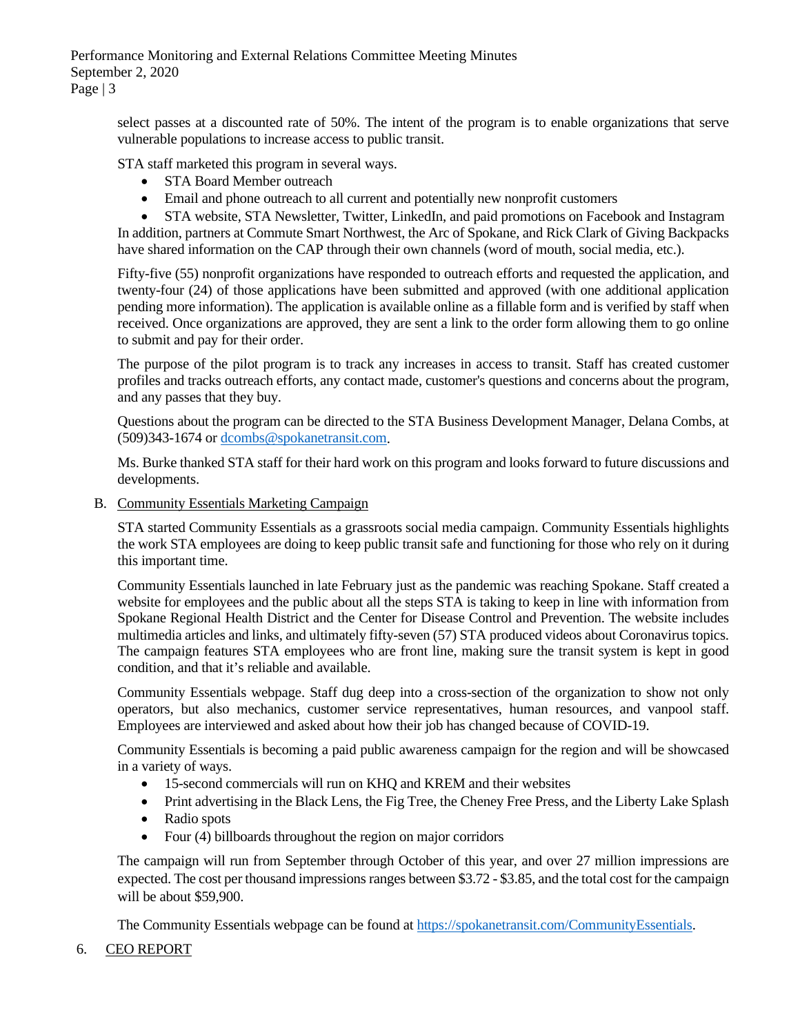Performance Monitoring and External Relations Committee Meeting Minutes September 2, 2020 Page | 3

> select passes at a discounted rate of 50%. The intent of the program is to enable organizations that serve vulnerable populations to increase access to public transit.

STA staff marketed this program in several ways.

- STA Board Member outreach
- Email and phone outreach to all current and potentially new nonprofit customers

• STA website, STA Newsletter, Twitter, LinkedIn, and paid promotions on Facebook and Instagram In addition, partners at Commute Smart Northwest, the Arc of Spokane, and Rick Clark of Giving Backpacks have shared information on the CAP through their own channels (word of mouth, social media, etc.).

Fifty-five (55) nonprofit organizations have responded to outreach efforts and requested the application, and twenty-four (24) of those applications have been submitted and approved (with one additional application pending more information). The application is available online as a fillable form and is verified by staff when received. Once organizations are approved, they are sent a link to the order form allowing them to go online to submit and pay for their order.

The purpose of the pilot program is to track any increases in access to transit. Staff has created customer profiles and tracks outreach efforts, any contact made, customer's questions and concerns about the program, and any passes that they buy.

Questions about the program can be directed to the STA Business Development Manager, Delana Combs, at (509)343-1674 or [dcombs@spokanetransit.com.](mailto:dcombs@spokanetransit.com)

Ms. Burke thanked STA staff for their hard work on this program and looks forward to future discussions and developments.

B. Community Essentials Marketing Campaign

STA started Community Essentials as a grassroots social media campaign. Community Essentials highlights the work STA employees are doing to keep public transit safe and functioning for those who rely on it during this important time.

Community Essentials launched in late February just as the pandemic was reaching Spokane. Staff created a website for employees and the public about all the steps STA is taking to keep in line with information from Spokane Regional Health District and the Center for Disease Control and Prevention. The website includes multimedia articles and links, and ultimately fifty-seven (57) STA produced videos about Coronavirus topics. The campaign features STA employees who are front line, making sure the transit system is kept in good condition, and that it's reliable and available.

Community Essentials webpage. Staff dug deep into a cross-section of the organization to show not only operators, but also mechanics, customer service representatives, human resources, and vanpool staff. Employees are interviewed and asked about how their job has changed because of COVID-19.

Community Essentials is becoming a paid public awareness campaign for the region and will be showcased in a variety of ways.

- 15-second commercials will run on KHQ and KREM and their websites
- Print advertising in the Black Lens, the Fig Tree, the Cheney Free Press, and the Liberty Lake Splash
- Radio spots
- Four (4) billboards throughout the region on major corridors

The campaign will run from September through October of this year, and over 27 million impressions are expected. The cost per thousand impressions ranges between \$3.72 - \$3.85, and the total cost for the campaign will be about \$59,900.

The Community Essentials webpage can be found at [https://spokanetransit.com/CommunityEssentials.](https://spokanetransit.com/CommunityEssentials)

### 6. CEO REPORT